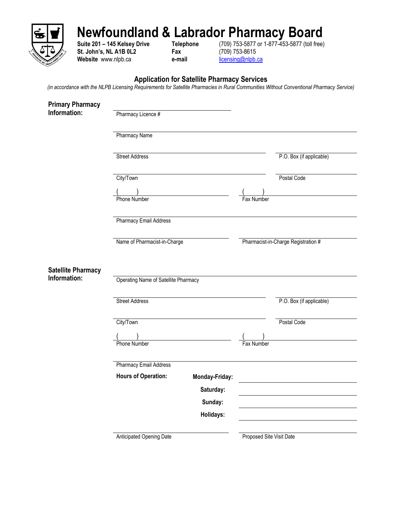

## **Newfoundland & Labrador Pharmacy Board**

**St. John's, NL A1B 0L2 Fax** (709) 753-8615<br>
Website www.nlpb.ca **e-mail e-mail e-mail <u>licensing@nlpb.ca</u>** Website www.nlpb.ca **e-mail** 

**Suite 201 – 145 Kelsey Drive Telephone** (709) 753-5877 or 1-877-453-5877 (toll free)

## **Application for Satellite Pharmacy Services**

*(in accordance with the NLPB Licensing Requirements for Satellite Pharmacies in Rural Communities Without Conventional Pharmacy Service)*

| <b>Primary Pharmacy</b>   |                                             |                      |                          |                                     |  |
|---------------------------|---------------------------------------------|----------------------|--------------------------|-------------------------------------|--|
| Information:              | Pharmacy Licence #                          |                      |                          |                                     |  |
|                           | <b>Pharmacy Name</b>                        |                      |                          |                                     |  |
|                           | <b>Street Address</b>                       |                      |                          | P.O. Box (if applicable)            |  |
|                           | City/Town                                   |                      |                          | Postal Code                         |  |
|                           | Phone Number                                |                      | Fax Number               |                                     |  |
|                           | <b>Pharmacy Email Address</b>               |                      |                          |                                     |  |
|                           | Name of Pharmacist-in-Charge                |                      |                          | Pharmacist-in-Charge Registration # |  |
| <b>Satellite Pharmacy</b> |                                             |                      |                          |                                     |  |
| Information:              | <b>Operating Name of Satellite Pharmacy</b> |                      |                          |                                     |  |
|                           | <b>Street Address</b>                       |                      |                          | P.O. Box (if applicable)            |  |
|                           | City/Town                                   |                      |                          | Postal Code                         |  |
|                           | Phone Number                                |                      | Fax Number               |                                     |  |
|                           | <b>Pharmacy Email Address</b>               |                      |                          |                                     |  |
|                           | <b>Hours of Operation:</b>                  | Monday-Friday:       |                          |                                     |  |
|                           |                                             | Saturday:            |                          |                                     |  |
|                           |                                             | Sunday:<br>Holidays: |                          |                                     |  |
|                           | Anticipated Opening Date                    |                      | Proposed Site Visit Date |                                     |  |